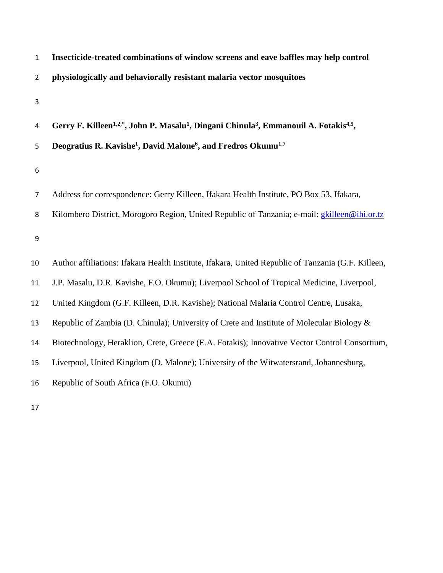| $\mathbf{1}$   | Insecticide-treated combinations of window screens and eave baffles may help control                                                   |
|----------------|----------------------------------------------------------------------------------------------------------------------------------------|
| $\overline{2}$ | physiologically and behaviorally resistant malaria vector mosquitoes                                                                   |
| 3              |                                                                                                                                        |
| 4              | Gerry F. Killeen <sup>1,2,*</sup> , John P. Masalu <sup>1</sup> , Dingani Chinula <sup>3</sup> , Emmanouil A. Fotakis <sup>4,5</sup> , |
| 5              | Deogratius R. Kavishe <sup>1</sup> , David Malone <sup>6</sup> , and Fredros Okumu <sup>1,7</sup>                                      |
| 6              |                                                                                                                                        |
| 7              | Address for correspondence: Gerry Killeen, Ifakara Health Institute, PO Box 53, Ifakara,                                               |
| 8              | Kilombero District, Morogoro Region, United Republic of Tanzania; e-mail: <i>gkilleen@ihi.or.tz</i>                                    |
| 9              |                                                                                                                                        |
| 10             | Author affiliations: Ifakara Health Institute, Ifakara, United Republic of Tanzania (G.F. Killeen,                                     |
| 11             | J.P. Masalu, D.R. Kavishe, F.O. Okumu); Liverpool School of Tropical Medicine, Liverpool,                                              |
| 12             | United Kingdom (G.F. Killeen, D.R. Kavishe); National Malaria Control Centre, Lusaka,                                                  |
| 13             | Republic of Zambia (D. Chinula); University of Crete and Institute of Molecular Biology &                                              |
| 14             | Biotechnology, Heraklion, Crete, Greece (E.A. Fotakis); Innovative Vector Control Consortium,                                          |
| 15             | Liverpool, United Kingdom (D. Malone); University of the Witwatersrand, Johannesburg,                                                  |
| 16             | Republic of South Africa (F.O. Okumu)                                                                                                  |
|                |                                                                                                                                        |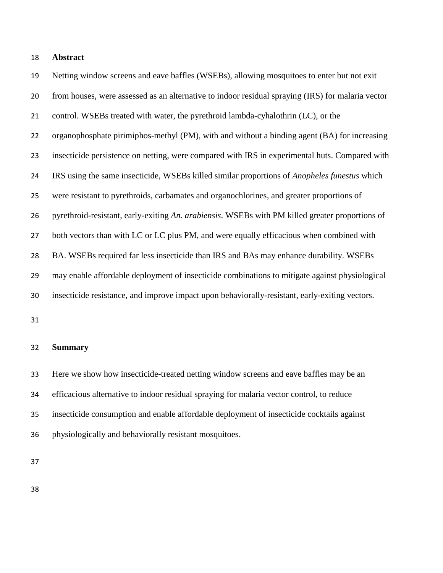# **Abstract**

 Netting window screens and eave baffles (WSEBs), allowing mosquitoes to enter but not exit from houses, were assessed as an alternative to indoor residual spraying (IRS) for malaria vector control. WSEBs treated with water, the pyrethroid lambda-cyhalothrin (LC), or the organophosphate pirimiphos-methyl (PM), with and without a binding agent (BA) for increasing insecticide persistence on netting, were compared with IRS in experimental huts. Compared with IRS using the same insecticide, WSEBs killed similar proportions of *Anopheles funestus* which were resistant to pyrethroids, carbamates and organochlorines, and greater proportions of pyrethroid-resistant, early-exiting *An. arabiensis*. WSEBs with PM killed greater proportions of 27 both vectors than with LC or LC plus PM, and were equally efficacious when combined with BA. WSEBs required far less insecticide than IRS and BAs may enhance durability. WSEBs may enable affordable deployment of insecticide combinations to mitigate against physiological insecticide resistance, and improve impact upon behaviorally-resistant, early-exiting vectors.

#### **Summary**

 Here we show how insecticide-treated netting window screens and eave baffles may be an efficacious alternative to indoor residual spraying for malaria vector control, to reduce insecticide consumption and enable affordable deployment of insecticide cocktails against physiologically and behaviorally resistant mosquitoes.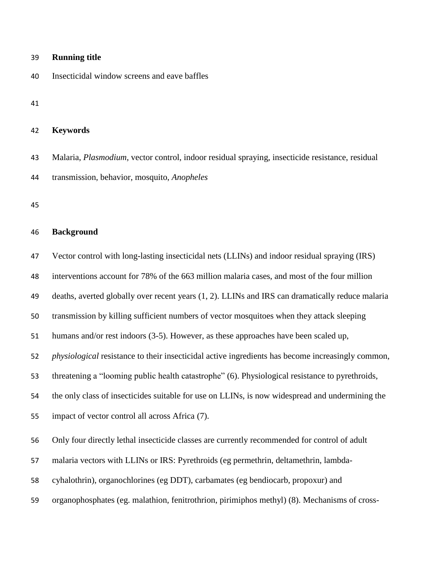# Insecticidal window screens and eave baffles **Keywords** Malaria, *Plasmodium*, vector control, indoor residual spraying, insecticide resistance, residual transmission, behavior, mosquito, *Anopheles*

# **Background**

Vector control with long-lasting insecticidal nets (LLINs) and indoor residual spraying (IRS)

interventions account for 78% of the 663 million malaria cases, and most of the four million

deaths, averted globally over recent years [\(1,](#page-15-0) [2\)](#page-16-0). LLINs and IRS can dramatically reduce malaria

transmission by killing sufficient numbers of vector mosquitoes when they attack sleeping

humans and/or rest indoors [\(3-5\)](#page-16-1). However, as these approaches have been scaled up,

*physiological* resistance to their insecticidal active ingredients has become increasingly common,

threatening a "looming public health catastrophe" [\(6\)](#page-16-2). Physiological resistance to pyrethroids,

the only class of insecticides suitable for use on LLINs, is now widespread and undermining the

impact of vector control all across Africa [\(7\)](#page-16-3).

Only four directly lethal insecticide classes are currently recommended for control of adult

malaria vectors with LLINs or IRS: Pyrethroids (eg permethrin, deltamethrin, lambda-

cyhalothrin), organochlorines (eg DDT), carbamates (eg bendiocarb, propoxur) and

organophosphates (eg. malathion, fenitrothrion, pirimiphos methyl) [\(8\)](#page-16-4). Mechanisms of cross-

# **Running title**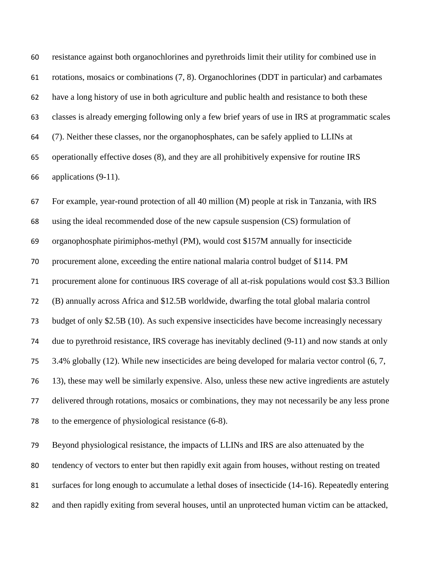resistance against both organochlorines and pyrethroids limit their utility for combined use in rotations, mosaics or combinations [\(7,](#page-16-3) [8\)](#page-16-4). Organochlorines (DDT in particular) and carbamates have a long history of use in both agriculture and public health and resistance to both these classes is already emerging following only a few brief years of use in IRS at programmatic scales [\(7\)](#page-16-3). Neither these classes, nor the organophosphates, can be safely applied to LLINs at operationally effective doses [\(8\)](#page-16-4), and they are all prohibitively expensive for routine IRS applications [\(9-11\)](#page-16-5).

 For example, year-round protection of all 40 million (M) people at risk in Tanzania, with IRS using the ideal recommended dose of the new capsule suspension (CS) formulation of organophosphate pirimiphos-methyl (PM), would cost \$157M annually for insecticide procurement alone, exceeding the entire national malaria control budget of \$114. PM procurement alone for continuous IRS coverage of all at-risk populations would cost \$3.3 Billion (B) annually across Africa and \$12.5B worldwide, dwarfing the total global malaria control budget of only \$2.5B [\(10\)](#page-16-6). As such expensive insecticides have become increasingly necessary due to pyrethroid resistance, IRS coverage has inevitably declined [\(9-11\)](#page-16-5) and now stands at only 3.4% globally [\(12\)](#page-17-0). While new insecticides are being developed for malaria vector control [\(6,](#page-16-2) [7,](#page-16-3) [13\)](#page-17-1), these may well be similarly expensive. Also, unless these new active ingredients are astutely delivered through rotations, mosaics or combinations, they may not necessarily be any less prone to the emergence of physiological resistance [\(6-8\)](#page-16-2).

 Beyond physiological resistance, the impacts of LLINs and IRS are also attenuated by the tendency of vectors to enter but then rapidly exit again from houses, without resting on treated surfaces for long enough to accumulate a lethal doses of insecticide [\(14-16\)](#page-17-2). Repeatedly entering and then rapidly exiting from several houses, until an unprotected human victim can be attacked,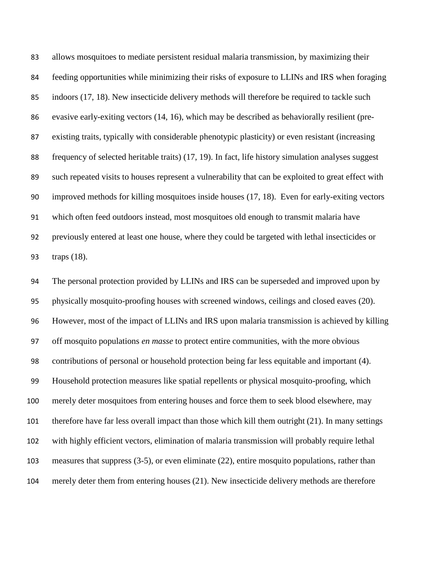allows mosquitoes to mediate persistent residual malaria transmission, by maximizing their feeding opportunities while minimizing their risks of exposure to LLINs and IRS when foraging indoors [\(17,](#page-17-3) [18\)](#page-17-4). New insecticide delivery methods will therefore be required to tackle such evasive early-exiting vectors [\(14,](#page-17-2) [16\)](#page-17-5), which may be described as behaviorally resilient (pre- existing traits, typically with considerable phenotypic plasticity) or even resistant (increasing frequency of selected heritable traits) [\(17,](#page-17-3) [19\)](#page-17-6). In fact, life history simulation analyses suggest such repeated visits to houses represent a vulnerability that can be exploited to great effect with improved methods for killing mosquitoes inside houses [\(17,](#page-17-3) [18\)](#page-17-4). Even for early-exiting vectors which often feed outdoors instead, most mosquitoes old enough to transmit malaria have previously entered at least one house, where they could be targeted with lethal insecticides or traps [\(18\)](#page-17-4).

 The personal protection provided by LLINs and IRS can be superseded and improved upon by physically mosquito-proofing houses with screened windows, ceilings and closed eaves [\(20\)](#page-17-7). However, most of the impact of LLINs and IRS upon malaria transmission is achieved by killing off mosquito populations *en masse* to protect entire communities, with the more obvious contributions of personal or household protection being far less equitable and important [\(4\)](#page-16-7). Household protection measures like spatial repellents or physical mosquito-proofing, which merely deter mosquitoes from entering houses and force them to seek blood elsewhere, may therefore have far less overall impact than those which kill them outright [\(21\)](#page-17-8). In many settings with highly efficient vectors, elimination of malaria transmission will probably require lethal measures that suppress [\(3-5\)](#page-16-1), or even eliminate [\(22\)](#page-17-9), entire mosquito populations, rather than merely deter them from entering houses [\(21\)](#page-17-8). New insecticide delivery methods are therefore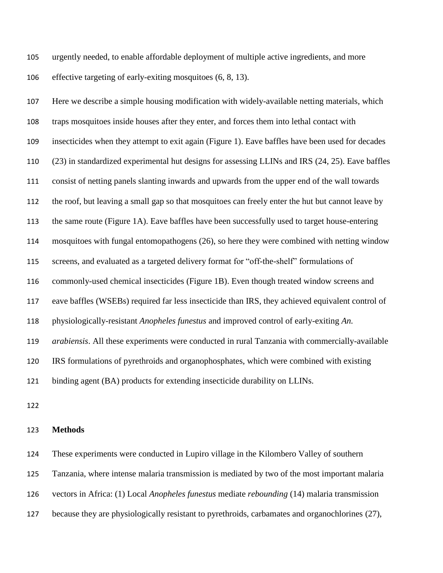urgently needed, to enable affordable deployment of multiple active ingredients, and more effective targeting of early-exiting mosquitoes [\(6,](#page-16-2) [8,](#page-16-4) [13\)](#page-17-1).

 Here we describe a simple housing modification with widely-available netting materials, which traps mosquitoes inside houses after they enter, and forces them into lethal contact with insecticides when they attempt to exit again (Figure 1). Eave baffles have been used for decades [\(23\)](#page-18-0) in standardized experimental hut designs for assessing LLINs and IRS [\(24,](#page-18-1) [25\)](#page-18-2). Eave baffles consist of netting panels slanting inwards and upwards from the upper end of the wall towards the roof, but leaving a small gap so that mosquitoes can freely enter the hut but cannot leave by the same route (Figure 1A). Eave baffles have been successfully used to target house-entering mosquitoes with fungal entomopathogens [\(26\)](#page-18-3), so here they were combined with netting window screens, and evaluated as a targeted delivery format for "off-the-shelf" formulations of commonly-used chemical insecticides (Figure 1B). Even though treated window screens and eave baffles (WSEBs) required far less insecticide than IRS, they achieved equivalent control of physiologically-resistant *Anopheles funestus* and improved control of early-exiting *An. arabiensis*. All these experiments were conducted in rural Tanzania with commercially-available IRS formulations of pyrethroids and organophosphates, which were combined with existing binding agent (BA) products for extending insecticide durability on LLINs.

# **Methods**

These experiments were conducted in Lupiro village in the Kilombero Valley of southern

Tanzania, where intense malaria transmission is mediated by two of the most important malaria

vectors in Africa: (1) Local *Anopheles funestus* mediate *rebounding* [\(14\)](#page-17-2) malaria transmission

because they are physiologically resistant to pyrethroids, carbamates and organochlorines [\(27\)](#page-18-4),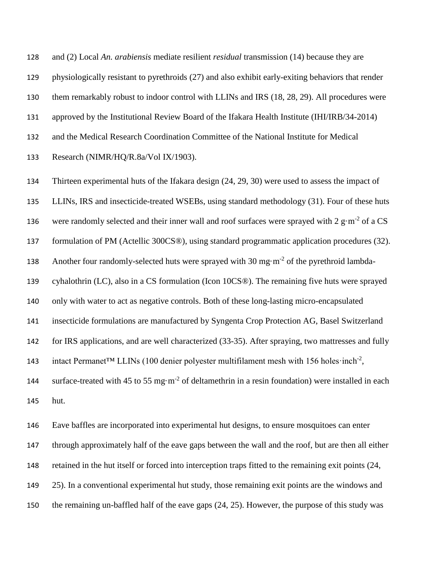and (2) Local *An. arabiensis* mediate resilient *residual* transmission [\(14\)](#page-17-2) because they are physiologically resistant to pyrethroids [\(27\)](#page-18-4) and also exhibit early-exiting behaviors that render them remarkably robust to indoor control with LLINs and IRS [\(18,](#page-17-4) [28,](#page-18-5) [29\)](#page-18-6). All procedures were approved by the Institutional Review Board of the Ifakara Health Institute (IHI/IRB/34-2014) and the Medical Research Coordination Committee of the National Institute for Medical Research (NIMR/HQ/R.8a/Vol IX/1903).

 Thirteen experimental huts of the Ifakara design [\(24,](#page-18-1) [29,](#page-18-6) [30\)](#page-18-7) were used to assess the impact of LLINs, IRS and insecticide-treated WSEBs, using standard methodology [\(31\)](#page-18-8). Four of these huts 136 were randomly selected and their inner wall and roof surfaces were sprayed with  $2 \text{ g} \cdot \text{m}^{-2}$  of a CS formulation of PM (Actellic 300CS®), using standard programmatic application procedures [\(32\)](#page-19-0). 138 Another four randomly-selected huts were sprayed with  $30 \text{ mg} \cdot \text{m}^{-2}$  of the pyrethroid lambda- cyhalothrin (LC), also in a CS formulation (Icon 10CS®). The remaining five huts were sprayed only with water to act as negative controls. Both of these long-lasting micro-encapsulated insecticide formulations are manufactured by Syngenta Crop Protection AG, Basel Switzerland for IRS applications, and are well characterized [\(33-35\)](#page-19-1). After spraying, two mattresses and fully 143 intact Permanet<sup>™</sup> LLINs (100 denier polyester multifilament mesh with 156 holes·inch<sup>-2</sup>, 144 surface-treated with 45 to 55 mg·m<sup>-2</sup> of deltamethrin in a resin foundation) were installed in each hut.

 Eave baffles are incorporated into experimental hut designs, to ensure mosquitoes can enter through approximately half of the eave gaps between the wall and the roof, but are then all either retained in the hut itself or forced into interception traps fitted to the remaining exit points [\(24,](#page-18-1) [25\)](#page-18-2). In a conventional experimental hut study, those remaining exit points are the windows and the remaining un-baffled half of the eave gaps [\(24,](#page-18-1) [25\)](#page-18-2). However, the purpose of this study was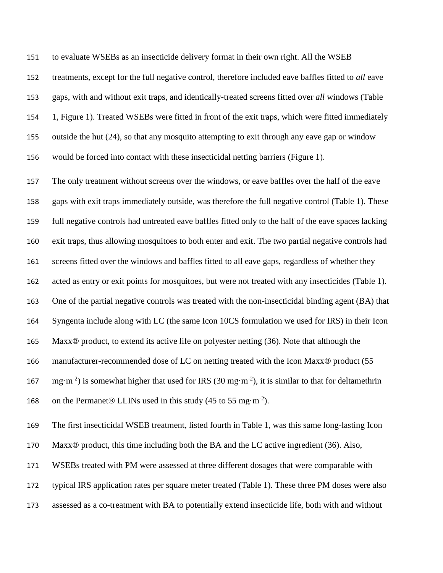to evaluate WSEBs as an insecticide delivery format in their own right. All the WSEB

 treatments, except for the full negative control, therefore included eave baffles fitted to *all* eave gaps, with and without exit traps, and identically-treated screens fitted over *all* windows (Table 1, Figure 1). Treated WSEBs were fitted in front of the exit traps, which were fitted immediately outside the hut [\(24\)](#page-18-1), so that any mosquito attempting to exit through any eave gap or window would be forced into contact with these insecticidal netting barriers (Figure 1).

 The only treatment without screens over the windows, or eave baffles over the half of the eave gaps with exit traps immediately outside, was therefore the full negative control (Table 1). These full negative controls had untreated eave baffles fitted only to the half of the eave spaces lacking exit traps, thus allowing mosquitoes to both enter and exit. The two partial negative controls had screens fitted over the windows and baffles fitted to all eave gaps, regardless of whether they acted as entry or exit points for mosquitoes, but were not treated with any insecticides (Table 1). One of the partial negative controls was treated with the non-insecticidal binding agent (BA) that Syngenta include along with LC (the same Icon 10CS formulation we used for IRS) in their Icon Maxx® product, to extend its active life on polyester netting [\(36\)](#page-19-2). Note that although the 166 manufacturer-recommended dose of LC on netting treated with the Icon Maxx® product (55 167 mg·m<sup>-2</sup>) is somewhat higher that used for IRS (30 mg·m<sup>-2</sup>), it is similar to that for deltamethrin 168 on the Permanet® LLINs used in this study  $(45 \text{ to } 55 \text{ mg} \cdot \text{m}^{-2})$ .

The first insecticidal WSEB treatment, listed fourth in Table 1, was this same long-lasting Icon

170 Maxx<sup>®</sup> product, this time including both the BA and the LC active ingredient [\(36\)](#page-19-2). Also,

WSEBs treated with PM were assessed at three different dosages that were comparable with

typical IRS application rates per square meter treated (Table 1). These three PM doses were also

assessed as a co-treatment with BA to potentially extend insecticide life, both with and without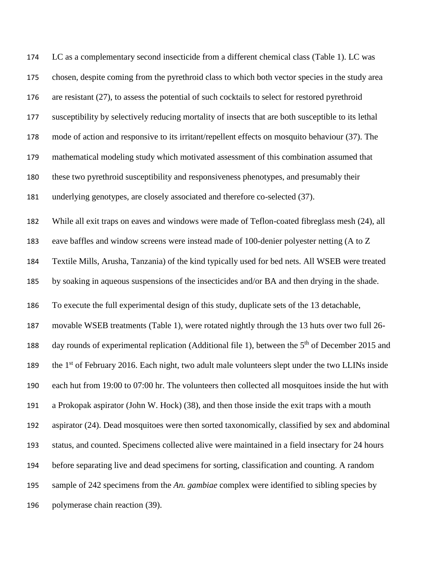| 174 | LC as a complementary second insecticide from a different chemical class (Table 1). LC was                   |
|-----|--------------------------------------------------------------------------------------------------------------|
| 175 | chosen, despite coming from the pyrethroid class to which both vector species in the study area              |
| 176 | are resistant (27), to assess the potential of such cocktails to select for restored pyrethroid              |
| 177 | susceptibility by selectively reducing mortality of insects that are both susceptible to its lethal          |
| 178 | mode of action and responsive to its irritant/repellent effects on mosquito behaviour (37). The              |
| 179 | mathematical modeling study which motivated assessment of this combination assumed that                      |
| 180 | these two pyrethroid susceptibility and responsiveness phenotypes, and presumably their                      |
| 181 | underlying genotypes, are closely associated and therefore co-selected (37).                                 |
| 182 | While all exit traps on eaves and windows were made of Teflon-coated fibreglass mesh (24), all               |
| 183 | eave baffles and window screens were instead made of 100-denier polyester netting (A to Z                    |
| 184 | Textile Mills, Arusha, Tanzania) of the kind typically used for bed nets. All WSEB were treated              |
| 185 | by soaking in aqueous suspensions of the insecticides and/or BA and then drying in the shade.                |
| 186 | To execute the full experimental design of this study, duplicate sets of the 13 detachable,                  |
| 187 | movable WSEB treatments (Table 1), were rotated nightly through the 13 huts over two full 26-                |
| 188 | day rounds of experimental replication (Additional file 1), between the 5 <sup>th</sup> of December 2015 and |
| 189 | the 1 <sup>st</sup> of February 2016. Each night, two adult male volunteers slept under the two LLINs inside |
| 190 | each hut from 19:00 to 07:00 hr. The volunteers then collected all mosquitoes inside the hut with            |
| 191 | a Prokopak aspirator (John W. Hock) (38), and then those inside the exit traps with a mouth                  |
| 192 | aspirator (24). Dead mosquitoes were then sorted taxonomically, classified by sex and abdominal              |
| 193 | status, and counted. Specimens collected alive were maintained in a field insectary for 24 hours             |
| 194 | before separating live and dead specimens for sorting, classification and counting. A random                 |
| 195 | sample of 242 specimens from the An. gambiae complex were identified to sibling species by                   |
| 196 | polymerase chain reaction (39).                                                                              |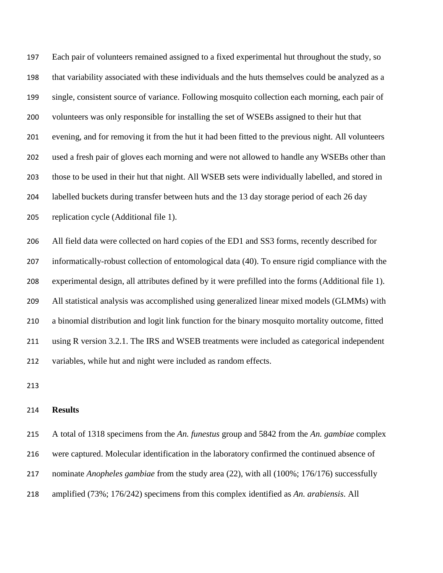Each pair of volunteers remained assigned to a fixed experimental hut throughout the study, so that variability associated with these individuals and the huts themselves could be analyzed as a single, consistent source of variance. Following mosquito collection each morning, each pair of volunteers was only responsible for installing the set of WSEBs assigned to their hut that evening, and for removing it from the hut it had been fitted to the previous night. All volunteers used a fresh pair of gloves each morning and were not allowed to handle any WSEBs other than those to be used in their hut that night. All WSEB sets were individually labelled, and stored in labelled buckets during transfer between huts and the 13 day storage period of each 26 day replication cycle (Additional file 1).

 All field data were collected on hard copies of the ED1 and SS3 forms, recently described for informatically-robust collection of entomological data [\(40\)](#page-19-6). To ensure rigid compliance with the experimental design, all attributes defined by it were prefilled into the forms (Additional file 1). All statistical analysis was accomplished using generalized linear mixed models (GLMMs) with a binomial distribution and logit link function for the binary mosquito mortality outcome, fitted using R version 3.2.1. The IRS and WSEB treatments were included as categorical independent variables, while hut and night were included as random effects.

#### **Results**

 A total of 1318 specimens from the *An. funestus* group and 5842 from the *An. gambiae* complex were captured. Molecular identification in the laboratory confirmed the continued absence of nominate *Anopheles gambiae* from the study area [\(22\)](#page-17-9), with all (100%; 176/176) successfully amplified (73%; 176/242) specimens from this complex identified as *An. arabiensis*. All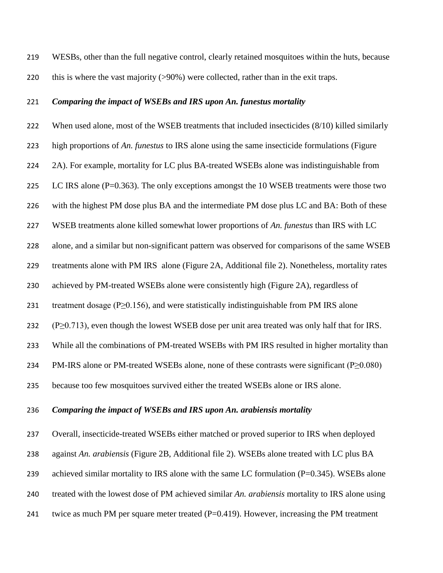WESBs, other than the full negative control, clearly retained mosquitoes within the huts, because this is where the vast majority (>90%) were collected, rather than in the exit traps.

#### *Comparing the impact of WSEBs and IRS upon An. funestus mortality*

222 When used alone, most of the WSEB treatments that included insecticides (8/10) killed similarly

high proportions of *An. funestus* to IRS alone using the same insecticide formulations (Figure

224 2A). For example, mortality for LC plus BA-treated WSEBs alone was indistinguishable from

225 LC IRS alone (P=0.363). The only exceptions amongst the 10 WSEB treatments were those two

with the highest PM dose plus BA and the intermediate PM dose plus LC and BA: Both of these

WSEB treatments alone killed somewhat lower proportions of *An. funestus* than IRS with LC

alone, and a similar but non-significant pattern was observed for comparisons of the same WSEB

treatments alone with PM IRS alone (Figure 2A, Additional file 2). Nonetheless, mortality rates

230 achieved by PM-treated WSEBs alone were consistently high (Figure 2A), regardless of

treatment dosage (P≥0.156), and were statistically indistinguishable from PM IRS alone

232 (P $\geq$ 0.713), even though the lowest WSEB dose per unit area treated was only half that for IRS.

While all the combinations of PM-treated WSEBs with PM IRS resulted in higher mortality than

PM-IRS alone or PM-treated WSEBs alone, none of these contrasts were significant (P≥0.080)

because too few mosquitoes survived either the treated WSEBs alone or IRS alone.

### *Comparing the impact of WSEBs and IRS upon An. arabiensis mortality*

 Overall, insecticide-treated WSEBs either matched or proved superior to IRS when deployed against *An. arabiensis* (Figure 2B, Additional file 2). WSEBs alone treated with LC plus BA 239 achieved similar mortality to IRS alone with the same LC formulation (P=0.345). WSEBs alone treated with the lowest dose of PM achieved similar *An. arabiensis* mortality to IRS alone using

241 twice as much PM per square meter treated (P=0.419). However, increasing the PM treatment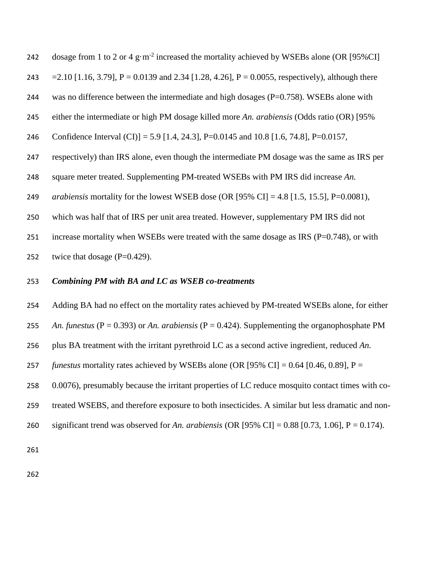242 dosage from 1 to 2 or 4  $g \cdot m^{-2}$  increased the mortality achieved by WSEBs alone (OR [95%CI]  $=2.10$  [1.16, 3.79], P = 0.0139 and 2.34 [1.28, 4.26], P = 0.0055, respectively), although there 244 was no difference between the intermediate and high dosages  $(P=0.758)$ . WSEBs alone with either the intermediate or high PM dosage killed more *An. arabiensis* (Odds ratio (OR) [95% Confidence Interval (CI)] = 5.9 [1.4, 24.3], P=0.0145 and 10.8 [1.6, 74.8], P=0.0157, respectively) than IRS alone, even though the intermediate PM dosage was the same as IRS per square meter treated. Supplementing PM-treated WSEBs with PM IRS did increase *An. arabiensis* mortality for the lowest WSEB dose (OR [95% CI] = 4.8 [1.5, 15.5], P=0.0081), which was half that of IRS per unit area treated. However, supplementary PM IRS did not increase mortality when WSEBs were treated with the same dosage as IRS (P=0.748), or with 252 twice that dosage  $(P=0.429)$ .

#### *Combining PM with BA and LC as WSEB co-treatments*

 Adding BA had no effect on the mortality rates achieved by PM-treated WSEBs alone, for either *An. funestus* (P = 0.393) or *An. arabiensis* (P = 0.424). Supplementing the organophosphate PM plus BA treatment with the irritant pyrethroid LC as a second active ingredient, reduced *An. funestus* mortality rates achieved by WSEBs alone (OR [95% CI] = 0.64 [0.46, 0.89], P = 0.0076), presumably because the irritant properties of LC reduce mosquito contact times with co- treated WSEBS, and therefore exposure to both insecticides. A similar but less dramatic and non-significant trend was observed for *An. arabiensis* (OR [95% CI] = 0.88 [0.73, 1.06], P = 0.174).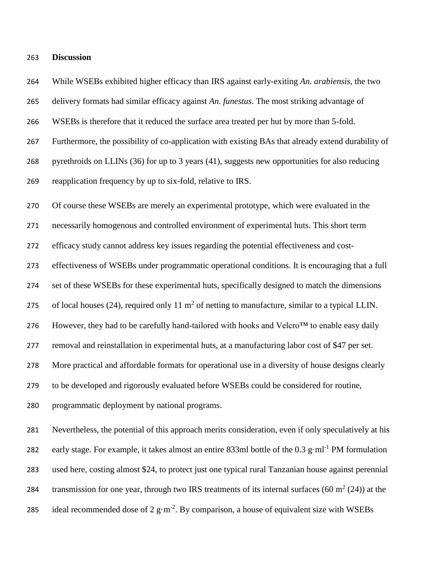#### **Discussion**

 While WSEBs exhibited higher efficacy than IRS against early-exiting *An. arabiensis*, the two delivery formats had similar efficacy against *An. funestus*. The most striking advantage of WSEBs is therefore that it reduced the surface area treated per hut by more than 5-fold. Furthermore, the possibility of co-application with existing BAs that already extend durability of pyrethroids on LLINs [\(36\)](#page-19-2) for up to 3 years [\(41\)](#page-20-0), suggests new opportunities for also reducing reapplication frequency by up to six-fold, relative to IRS. Of course these WSEBs are merely an experimental prototype, which were evaluated in the necessarily homogenous and controlled environment of experimental huts. This short term efficacy study cannot address key issues regarding the potential effectiveness and cost- effectiveness of WSEBs under programmatic operational conditions. It is encouraging that a full set of these WSEBs for these experimental huts, specifically designed to match the dimensions 275 of local houses [\(24\)](#page-18-1), required only 11  $m<sup>2</sup>$  of netting to manufacture, similar to a typical LLIN. 276 However, they had to be carefully hand-tailored with hooks and Velcro<sup>TM</sup> to enable easy daily removal and reinstallation in experimental huts, at a manufacturing labor cost of \$47 per set. More practical and affordable formats for operational use in a diversity of house designs clearly to be developed and rigorously evaluated before WSEBs could be considered for routine, programmatic deployment by national programs. Nevertheless, the potential of this approach merits consideration, even if only speculatively at his 282 early stage. For example, it takes almost an entire 833ml bottle of the  $0.3 \text{ g} \cdot \text{ml}^{-1}$  PM formulation used here, costing almost \$24, to protect just one typical rural Tanzanian house against perennial

285 ideal recommended dose of 2  $g·m<sup>-2</sup>$ . By comparison, a house of equivalent size with WSEBs

284 transmission for one year, through two IRS treatments of its internal surfaces  $(60 \text{ m}^2 (24))$  $(60 \text{ m}^2 (24))$  $(60 \text{ m}^2 (24))$  at the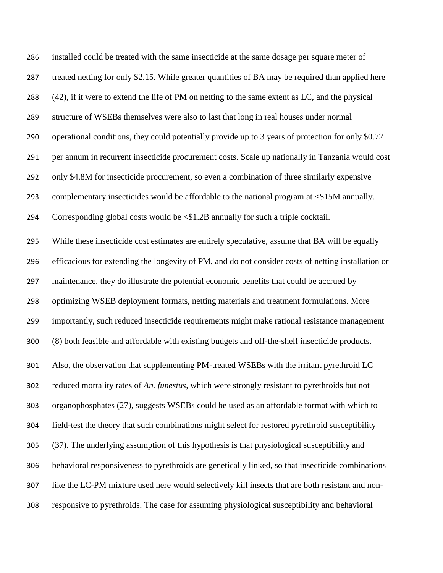| 286 | installed could be treated with the same insecticide at the same dosage per square meter of         |
|-----|-----------------------------------------------------------------------------------------------------|
| 287 | treated netting for only \$2.15. While greater quantities of BA may be required than applied here   |
| 288 | (42), if it were to extend the life of PM on netting to the same extent as LC, and the physical     |
| 289 | structure of WSEBs themselves were also to last that long in real houses under normal               |
| 290 | operational conditions, they could potentially provide up to 3 years of protection for only \$0.72  |
| 291 | per annum in recurrent insecticide procurement costs. Scale up nationally in Tanzania would cost    |
| 292 | only \$4.8M for insecticide procurement, so even a combination of three similarly expensive         |
| 293 | complementary insecticides would be affordable to the national program at <\$15M annually.          |
| 294 | Corresponding global costs would be <\$1.2B annually for such a triple cocktail.                    |
| 295 | While these insecticide cost estimates are entirely speculative, assume that BA will be equally     |
| 296 | efficacious for extending the longevity of PM, and do not consider costs of netting installation or |
| 297 | maintenance, they do illustrate the potential economic benefits that could be accrued by            |
| 298 | optimizing WSEB deployment formats, netting materials and treatment formulations. More              |
| 299 | importantly, such reduced insecticide requirements might make rational resistance management        |
| 300 | (8) both feasible and affordable with existing budgets and off-the-shelf insecticide products.      |
| 301 | Also, the observation that supplementing PM-treated WSEBs with the irritant pyrethroid LC           |
| 302 | reduced mortality rates of An. funestus, which were strongly resistant to pyrethroids but not       |
| 303 | organophosphates (27), suggests WSEBs could be used as an affordable format with which to           |
| 304 | field-test the theory that such combinations might select for restored pyrethroid susceptibility    |
| 305 | (37). The underlying assumption of this hypothesis is that physiological susceptibility and         |
| 306 | behavioral responsiveness to pyrethroids are genetically linked, so that insecticide combinations   |
| 307 | like the LC-PM mixture used here would selectively kill insects that are both resistant and non-    |
| 308 | responsive to pyrethroids. The case for assuming physiological susceptibility and behavioral        |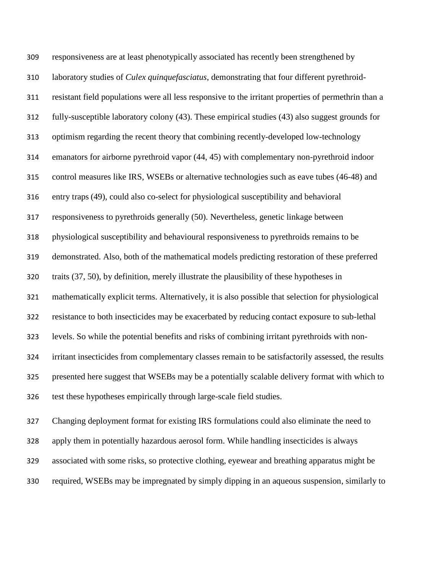responsiveness are at least phenotypically associated has recently been strengthened by laboratory studies of *Culex quinquefasciatus*, demonstrating that four different pyrethroid- resistant field populations were all less responsive to the irritant properties of permethrin than a fully-susceptible laboratory colony [\(43\)](#page-20-2). These empirical studies [\(43\)](#page-20-2) also suggest grounds for optimism regarding the recent theory that combining recently-developed low-technology emanators for airborne pyrethroid vapor [\(44,](#page-20-3) [45\)](#page-20-4) with complementary non-pyrethroid indoor control measures like IRS, WSEBs or alternative technologies such as eave tubes [\(46-48\)](#page-20-5) and entry traps [\(49\)](#page-20-6), could also co-select for physiological susceptibility and behavioral responsiveness to pyrethroids generally [\(50\)](#page-20-7). Nevertheless, genetic linkage between physiological susceptibility and behavioural responsiveness to pyrethroids remains to be demonstrated. Also, both of the mathematical models predicting restoration of these preferred traits [\(37,](#page-19-3) [50\)](#page-20-7), by definition, merely illustrate the plausibility of these hypotheses in mathematically explicit terms. Alternatively, it is also possible that selection for physiological resistance to both insecticides may be exacerbated by reducing contact exposure to sub-lethal levels. So while the potential benefits and risks of combining irritant pyrethroids with non- irritant insecticides from complementary classes remain to be satisfactorily assessed, the results presented here suggest that WSEBs may be a potentially scalable delivery format with which to test these hypotheses empirically through large-scale field studies. Changing deployment format for existing IRS formulations could also eliminate the need to

 apply them in potentially hazardous aerosol form. While handling insecticides is always associated with some risks, so protective clothing, eyewear and breathing apparatus might be required, WSEBs may be impregnated by simply dipping in an aqueous suspension, similarly to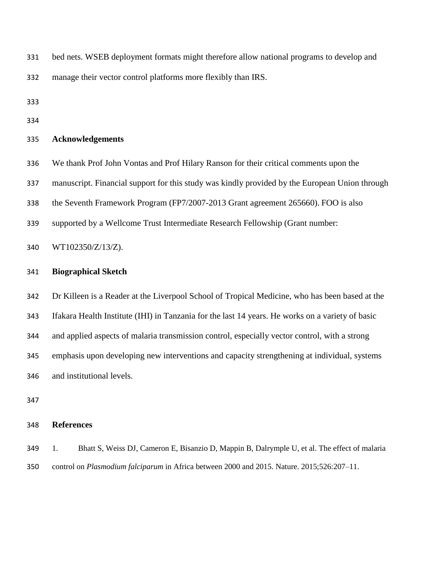bed nets. WSEB deployment formats might therefore allow national programs to develop and

manage their vector control platforms more flexibly than IRS.

- 
- 

#### **Acknowledgements**

- We thank Prof John Vontas and Prof Hilary Ranson for their critical comments upon the
- manuscript. Financial support for this study was kindly provided by the European Union through
- the Seventh Framework Program (FP7/2007-2013 Grant agreement 265660). FOO is also
- supported by a Wellcome Trust Intermediate Research Fellowship (Grant number:

### WT102350/Z/13/Z).

#### **Biographical Sketch**

Dr Killeen is a Reader at the Liverpool School of Tropical Medicine, who has been based at the

Ifakara Health Institute (IHI) in Tanzania for the last 14 years. He works on a variety of basic

and applied aspects of malaria transmission control, especially vector control, with a strong

emphasis upon developing new interventions and capacity strengthening at individual, systems

and institutional levels.

## **References**

<span id="page-15-0"></span> 1. Bhatt S, Weiss DJ, Cameron E, Bisanzio D, Mappin B, Dalrymple U, et al. The effect of malaria control on *Plasmodium falciparum* in Africa between 2000 and 2015. Nature. 2015;526:207–11.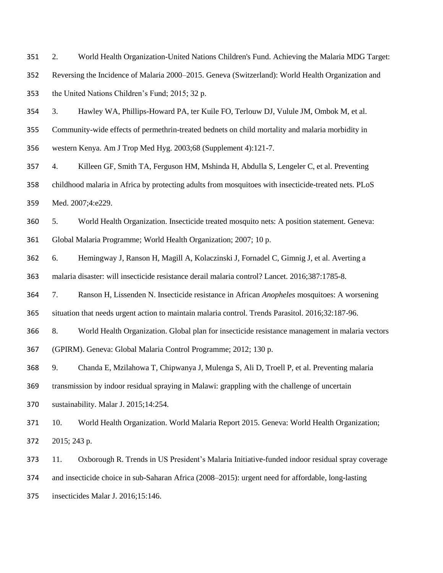<span id="page-16-0"></span>2. World Health Organization-United Nations Children's Fund. Achieving the Malaria MDG Target:

 Reversing the Incidence of Malaria 2000–2015. Geneva (Switzerland): World Health Organization and the United Nations Children's Fund; 2015; 32 p.

<span id="page-16-1"></span> 3. Hawley WA, Phillips-Howard PA, ter Kuile FO, Terlouw DJ, Vulule JM, Ombok M, et al. Community-wide effects of permethrin-treated bednets on child mortality and malaria morbidity in western Kenya. Am J Trop Med Hyg. 2003;68 (Supplement 4):121-7.

<span id="page-16-7"></span> 4. Killeen GF, Smith TA, Ferguson HM, Mshinda H, Abdulla S, Lengeler C, et al. Preventing childhood malaria in Africa by protecting adults from mosquitoes with insecticide-treated nets. PLoS Med. 2007;4:e229.

 5. World Health Organization. Insecticide treated mosquito nets: A position statement. Geneva: Global Malaria Programme; World Health Organization; 2007; 10 p.

<span id="page-16-2"></span>6. Hemingway J, Ranson H, Magill A, Kolaczinski J, Fornadel C, Gimnig J, et al. Averting a

malaria disaster: will insecticide resistance derail malaria control? Lancet. 2016;387:1785-8.

<span id="page-16-3"></span>7. Ranson H, Lissenden N. Insecticide resistance in African *Anopheles* mosquitoes: A worsening

situation that needs urgent action to maintain malaria control. Trends Parasitol. 2016;32:187-96.

<span id="page-16-4"></span>8. World Health Organization. Global plan for insecticide resistance management in malaria vectors

(GPIRM). Geneva: Global Malaria Control Programme; 2012; 130 p.

<span id="page-16-5"></span>9. Chanda E, Mzilahowa T, Chipwanya J, Mulenga S, Ali D, Troell P, et al. Preventing malaria

transmission by indoor residual spraying in Malawi: grappling with the challenge of uncertain

sustainability. Malar J. 2015;14:254.

<span id="page-16-6"></span> 10. World Health Organization. World Malaria Report 2015. Geneva: World Health Organization; 2015; 243 p.

11. Oxborough R. Trends in US President's Malaria Initiative-funded indoor residual spray coverage

and insecticide choice in sub-Saharan Africa (2008–2015): urgent need for affordable, long-lasting

insecticides Malar J. 2016;15:146.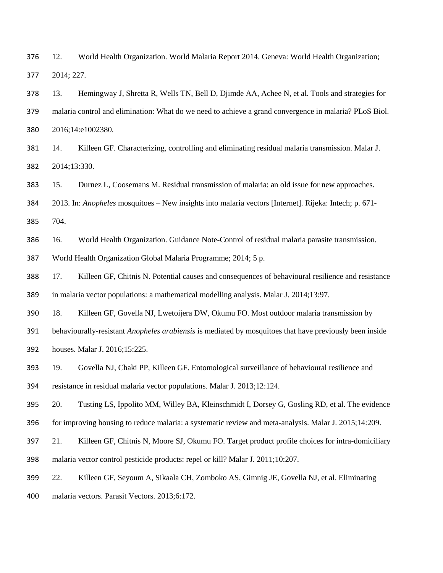<span id="page-17-0"></span> 12. World Health Organization. World Malaria Report 2014. Geneva: World Health Organization; 2014; 227.

<span id="page-17-1"></span> 13. Hemingway J, Shretta R, Wells TN, Bell D, Djimde AA, Achee N, et al. Tools and strategies for malaria control and elimination: What do we need to achieve a grand convergence in malaria? PLoS Biol. 2016;14:e1002380.

<span id="page-17-2"></span> 14. Killeen GF. Characterizing, controlling and eliminating residual malaria transmission. Malar J. 2014;13:330.

15. Durnez L, Coosemans M. Residual transmission of malaria: an old issue for new approaches.

2013. In: *Anopheles* mosquitoes – New insights into malaria vectors [Internet]. Rijeka: Intech; p. 671-

704.

<span id="page-17-5"></span>16. World Health Organization. Guidance Note-Control of residual malaria parasite transmission.

World Health Organization Global Malaria Programme; 2014; 5 p.

<span id="page-17-3"></span> 17. Killeen GF, Chitnis N. Potential causes and consequences of behavioural resilience and resistance in malaria vector populations: a mathematical modelling analysis. Malar J. 2014;13:97.

<span id="page-17-4"></span>18. Killeen GF, Govella NJ, Lwetoijera DW, Okumu FO. Most outdoor malaria transmission by

behaviourally-resistant *Anopheles arabiensis* is mediated by mosquitoes that have previously been inside

houses. Malar J. 2016;15:225.

<span id="page-17-6"></span> 19. Govella NJ, Chaki PP, Killeen GF. Entomological surveillance of behavioural resilience and resistance in residual malaria vector populations. Malar J. 2013;12:124.

<span id="page-17-7"></span>20. Tusting LS, Ippolito MM, Willey BA, Kleinschmidt I, Dorsey G, Gosling RD, et al. The evidence

for improving housing to reduce malaria: a systematic review and meta-analysis. Malar J. 2015;14:209.

<span id="page-17-8"></span>21. Killeen GF, Chitnis N, Moore SJ, Okumu FO. Target product profile choices for intra-domiciliary

malaria vector control pesticide products: repel or kill? Malar J. 2011;10:207.

<span id="page-17-9"></span>22. Killeen GF, Seyoum A, Sikaala CH, Zomboko AS, Gimnig JE, Govella NJ, et al. Eliminating

malaria vectors. Parasit Vectors. 2013;6:172.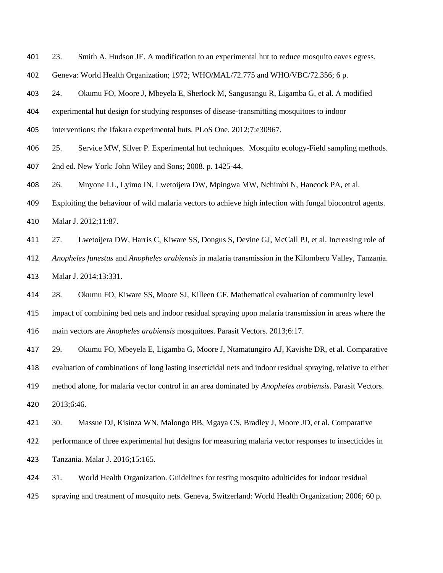<span id="page-18-0"></span>23. Smith A, Hudson JE. A modification to an experimental hut to reduce mosquito eaves egress.

Geneva: World Health Organization; 1972; WHO/MAL/72.775 and WHO/VBC/72.356; 6 p.

<span id="page-18-1"></span>24. Okumu FO, Moore J, Mbeyela E, Sherlock M, Sangusangu R, Ligamba G, et al. A modified

experimental hut design for studying responses of disease-transmitting mosquitoes to indoor

- interventions: the Ifakara experimental huts. PLoS One. 2012;7:e30967.
- <span id="page-18-2"></span>25. Service MW, Silver P. Experimental hut techniques. Mosquito ecology-Field sampling methods.
- 2nd ed. New York: John Wiley and Sons; 2008. p. 1425-44.
- <span id="page-18-3"></span>26. Mnyone LL, Lyimo IN, Lwetoijera DW, Mpingwa MW, Nchimbi N, Hancock PA, et al.
- Exploiting the behaviour of wild malaria vectors to achieve high infection with fungal biocontrol agents.
- Malar J. 2012;11:87.
- <span id="page-18-4"></span>27. Lwetoijera DW, Harris C, Kiware SS, Dongus S, Devine GJ, McCall PJ, et al. Increasing role of

*Anopheles funestus* and *Anopheles arabiensis* in malaria transmission in the Kilombero Valley, Tanzania.

Malar J. 2014;13:331.

<span id="page-18-5"></span>28. Okumu FO, Kiware SS, Moore SJ, Killeen GF. Mathematical evaluation of community level

impact of combining bed nets and indoor residual spraying upon malaria transmission in areas where the

main vectors are *Anopheles arabiensis* mosquitoes. Parasit Vectors. 2013;6:17.

<span id="page-18-6"></span>29. Okumu FO, Mbeyela E, Ligamba G, Moore J, Ntamatungiro AJ, Kavishe DR, et al. Comparative

evaluation of combinations of long lasting insecticidal nets and indoor residual spraying, relative to either

method alone, for malaria vector control in an area dominated by *Anopheles arabiensis*. Parasit Vectors.

2013;6:46.

<span id="page-18-7"></span>30. Massue DJ, Kisinza WN, Malongo BB, Mgaya CS, Bradley J, Moore JD, et al. Comparative

 performance of three experimental hut designs for measuring malaria vector responses to insecticides in Tanzania. Malar J. 2016;15:165.

<span id="page-18-8"></span>31. World Health Organization. Guidelines for testing mosquito adulticides for indoor residual

spraying and treatment of mosquito nets. Geneva, Switzerland: World Health Organization; 2006; 60 p.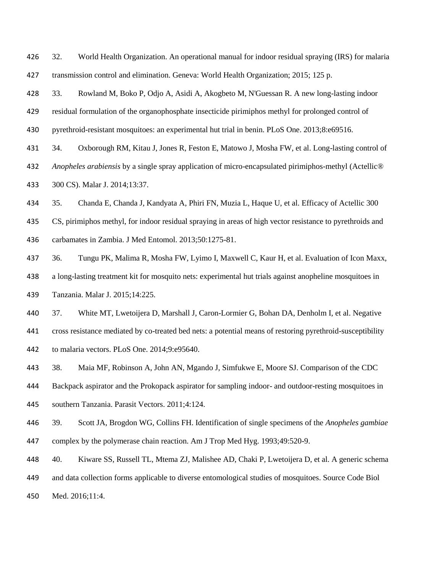<span id="page-19-0"></span> 32. World Health Organization. An operational manual for indoor residual spraying (IRS) for malaria transmission control and elimination. Geneva: World Health Organization; 2015; 125 p.

<span id="page-19-1"></span>33. Rowland M, Boko P, Odjo A, Asidi A, Akogbeto M, N'Guessan R. A new long-lasting indoor

residual formulation of the organophosphate insecticide pirimiphos methyl for prolonged control of

pyrethroid-resistant mosquitoes: an experimental hut trial in benin. PLoS One. 2013;8:e69516.

34. Oxborough RM, Kitau J, Jones R, Feston E, Matowo J, Mosha FW, et al. Long-lasting control of

 *Anopheles arabiensis* by a single spray application of micro-encapsulated pirimiphos-methyl (Actellic® 300 CS). Malar J. 2014;13:37.

35. Chanda E, Chanda J, Kandyata A, Phiri FN, Muzia L, Haque U, et al. Efficacy of Actellic 300

CS, pirimiphos methyl, for indoor residual spraying in areas of high vector resistance to pyrethroids and

- carbamates in Zambia. J Med Entomol. 2013;50:1275-81.
- <span id="page-19-2"></span>36. Tungu PK, Malima R, Mosha FW, Lyimo I, Maxwell C, Kaur H, et al. Evaluation of Icon Maxx,

a long-lasting treatment kit for mosquito nets: experimental hut trials against anopheline mosquitoes in

Tanzania. Malar J. 2015;14:225.

<span id="page-19-3"></span>37. White MT, Lwetoijera D, Marshall J, Caron-Lormier G, Bohan DA, Denholm I, et al. Negative

cross resistance mediated by co-treated bed nets: a potential means of restoring pyrethroid-susceptibility

- to malaria vectors. PLoS One. 2014;9:e95640.
- <span id="page-19-4"></span>38. Maia MF, Robinson A, John AN, Mgando J, Simfukwe E, Moore SJ. Comparison of the CDC
- Backpack aspirator and the Prokopack aspirator for sampling indoor- and outdoor-resting mosquitoes in
- southern Tanzania. Parasit Vectors. 2011;4:124.
- <span id="page-19-5"></span> 39. Scott JA, Brogdon WG, Collins FH. Identification of single specimens of the *Anopheles gambiae* complex by the polymerase chain reaction. Am J Trop Med Hyg. 1993;49:520-9.
- <span id="page-19-6"></span>40. Kiware SS, Russell TL, Mtema ZJ, Malishee AD, Chaki P, Lwetoijera D, et al. A generic schema
- and data collection forms applicable to diverse entomological studies of mosquitoes. Source Code Biol
- Med. 2016;11:4.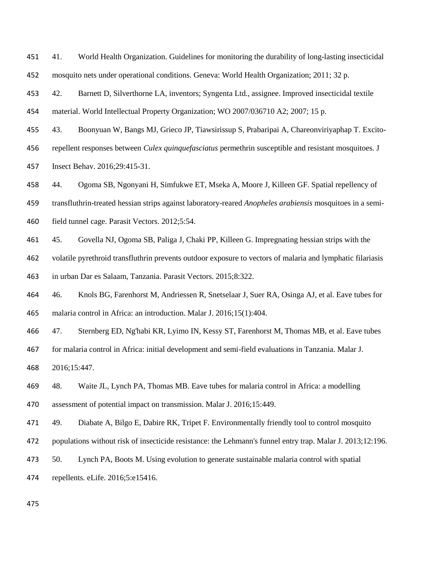<span id="page-20-0"></span> 41. World Health Organization. Guidelines for monitoring the durability of long-lasting insecticidal mosquito nets under operational conditions. Geneva: World Health Organization; 2011; 32 p.

<span id="page-20-1"></span>42. Barnett D, Silverthorne LA, inventors; Syngenta Ltd., assignee. Improved insecticidal textile

material. World Intellectual Property Organization; WO 2007/036710 A2; 2007; 15 p.

- <span id="page-20-2"></span>43. Boonyuan W, Bangs MJ, Grieco JP, Tiawsirissup S, Prabaripai A, Chareonviriyaphap T. Excito-
- repellent responses between *Culex quinquefasciatus* permethrin susceptible and resistant mosquitoes. J

Insect Behav. 2016;29:415-31.

<span id="page-20-3"></span>44. Ogoma SB, Ngonyani H, Simfukwe ET, Mseka A, Moore J, Killeen GF. Spatial repellency of

transfluthrin-treated hessian strips against laboratory-reared *Anopheles arabiensis* mosquitoes in a semi-

field tunnel cage. Parasit Vectors. 2012;5:54.

<span id="page-20-4"></span>45. Govella NJ, Ogoma SB, Paliga J, Chaki PP, Killeen G. Impregnating hessian strips with the

volatile pyrethroid transfluthrin prevents outdoor exposure to vectors of malaria and lymphatic filariasis

in urban Dar es Salaam, Tanzania. Parasit Vectors. 2015;8:322.

<span id="page-20-5"></span> 46. Knols BG, Farenhorst M, Andriessen R, Snetselaar J, Suer RA, Osinga AJ, et al. Eave tubes for malaria control in Africa: an introduction. Malar J. 2016;15(1):404.

47. Sternberg ED, Ng'habi KR, Lyimo IN, Kessy ST, Farenhorst M, Thomas MB, et al. Eave tubes

 for malaria control in Africa: initial development and semi-field evaluations in Tanzania. Malar J. 2016;15:447.

48. Waite JL, Lynch PA, Thomas MB. Eave tubes for malaria control in Africa: a modelling

assessment of potential impact on transmission. Malar J. 2016;15:449.

<span id="page-20-6"></span>49. Diabate A, Bilgo E, Dabire RK, Tripet F. Environmentally friendly tool to control mosquito

- populations without risk of insecticide resistance: the Lehmann's funnel entry trap. Malar J. 2013;12:196.
- <span id="page-20-7"></span>50. Lynch PA, Boots M. Using evolution to generate sustainable malaria control with spatial

repellents. eLife. 2016;5:e15416.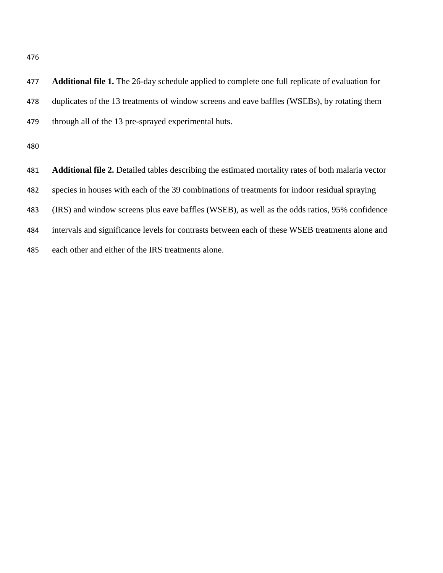| 477 | <b>Additional file 1.</b> The 26-day schedule applied to complete one full replicate of evaluation for    |
|-----|-----------------------------------------------------------------------------------------------------------|
| 478 | duplicates of the 13 treatments of window screens and eave baffles (WSEBs), by rotating them              |
| 479 | through all of the 13 pre-sprayed experimental huts.                                                      |
| 480 |                                                                                                           |
| 481 | <b>Additional file 2.</b> Detailed tables describing the estimated mortality rates of both malaria vector |
| 482 | species in houses with each of the 39 combinations of treatments for indoor residual spraying             |
| 483 | (IRS) and window screens plus eave baffles (WSEB), as well as the odds ratios, 95% confidence             |
| 484 | intervals and significance levels for contrasts between each of these WSEB treatments alone and           |
| 485 | each other and either of the IRS treatments alone.                                                        |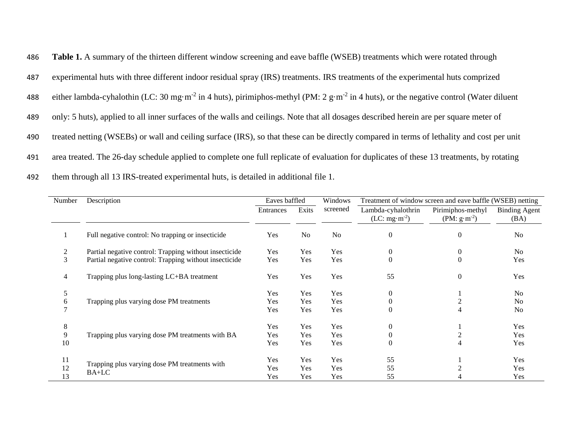| 486 | Table 1. A summary of the thirteen different window screening and eave baffle (WSEB) treatments which were rotated through                                    |
|-----|---------------------------------------------------------------------------------------------------------------------------------------------------------------|
| 487 | experimental huts with three different indoor residual spray (IRS) treatments. IRS treatments of the experimental huts comprized                              |
| 488 | either lambda-cyhalothin (LC: 30 mg·m <sup>-2</sup> in 4 huts), pirimiphos-methyl (PM: 2 g·m <sup>-2</sup> in 4 huts), or the negative control (Water diluent |
| 489 | only: 5 huts), applied to all inner surfaces of the walls and ceilings. Note that all dosages described herein are per square meter of                        |
| 490 | treated netting (WSEBs) or wall and ceiling surface (IRS), so that these can be directly compared in terms of lethality and cost per unit                     |
| 491 | area treated. The 26-day schedule applied to complete one full replicate of evaluation for duplicates of these 13 treatments, by rotating                     |
| 492 | them through all 13 IRS-treated experimental huts, is detailed in additional file 1.                                                                          |

| Number | Description                                            | Eaves baffled |                | Windows        | Treatment of window screen and eave baffle (WSEB) netting |                                    |                              |
|--------|--------------------------------------------------------|---------------|----------------|----------------|-----------------------------------------------------------|------------------------------------|------------------------------|
|        |                                                        | Entrances     | Exits          | screened       | Lambda-cyhalothrin<br>$(LC: mg·m-2)$                      | Pirimiphos-methyl<br>$(PM: g·m-2)$ | <b>Binding Agent</b><br>(BA) |
|        | Full negative control: No trapping or insecticide      | Yes           | N <sub>o</sub> | N <sub>o</sub> | $\overline{0}$                                            | $\overline{0}$                     | N <sub>o</sub>               |
|        | Partial negative control: Trapping without insecticide | Yes           | Yes            | Yes            | $\overline{0}$                                            | $\boldsymbol{0}$                   | N <sub>o</sub>               |
| 3      | Partial negative control: Trapping without insecticide | Yes           | Yes            | Yes            | $\Omega$                                                  | $\theta$                           | Yes                          |
| 4      | Trapping plus long-lasting LC+BA treatment             | Yes           | Yes            | Yes            | 55                                                        | $\theta$                           | Yes                          |
| 5      |                                                        | Yes           | Yes            | Yes            | $\Omega$                                                  |                                    | N <sub>o</sub>               |
| O      | Trapping plus varying dose PM treatments               | Yes           | Yes            | Yes            | 0                                                         |                                    | N <sub>o</sub>               |
|        |                                                        | Yes           | Yes            | Yes            | $\theta$                                                  |                                    | N <sub>o</sub>               |
| 8      |                                                        | Yes           | Yes            | Yes            | $\theta$                                                  |                                    | Yes                          |
| 9      | Trapping plus varying dose PM treatments with BA       | Yes           | Yes            | Yes            |                                                           |                                    | Yes                          |
| 10     |                                                        | Yes           | Yes            | Yes            | $\Omega$                                                  |                                    | Yes                          |
| 11     |                                                        | Yes           | Yes            | Yes            | 55                                                        |                                    | Yes                          |
| 12     | Trapping plus varying dose PM treatments with<br>BA+LC | Yes           | Yes            | Yes            | 55                                                        |                                    | <b>Yes</b>                   |
| 13     |                                                        | Yes           | Yes            | Yes            | 55                                                        |                                    | Yes                          |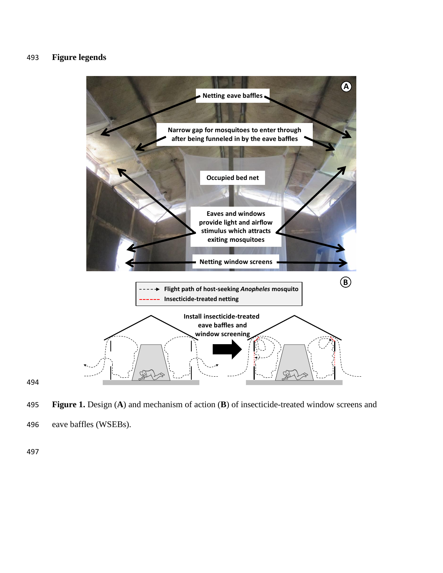# 493 **Figure legends**



495 **Figure 1.** Design (**A**) and mechanism of action (**B**) of insecticide-treated window screens and 496 eave baffles (WSEBs).

497